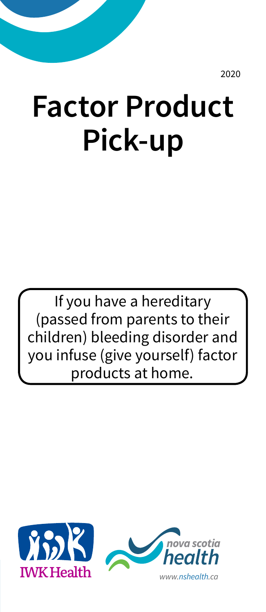2020

# **Factor Product Pick-up**

If you have a hereditary (passed from parents to their children) bleeding disorder and you infuse (give yourself) factor products at home.



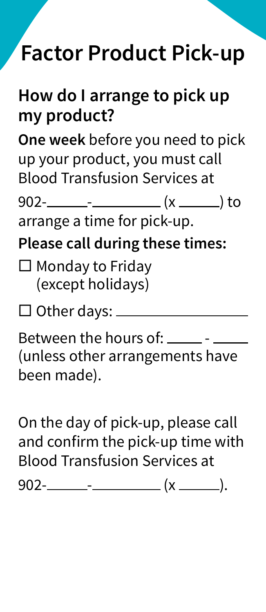## **Factor Product Pick-up**

#### **How do I arrange to pick up my product?**

**One week** before you need to pick up your product, you must call Blood Transfusion Services at

902- - (x ) to

arrange a time for pick-up.

**Please call during these times:**

- $\square$  Monday to Friday (except holidays)
- $\square$  Other days:  $\_\_\_\_\_\_\_\_\_\_\_\_\_\_\_\_\_$

Between the hours of:  $\frac{1}{1}$  -  $\frac{1}{1}$ (unless other arrangements have been made).

On the day of pick-up, please call and confirm the pick-up time with Blood Transfusion Services at  $902$ - $---$ - $--- (x$   $(x)$ .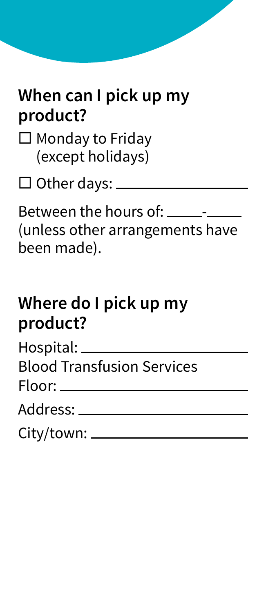#### **When can I pick up my product?**

 $\square$  Monday to Friday (except holidays)

□ Other days: <u>\_\_\_\_\_\_\_\_\_</u>

Between the hours of: \_\_\_\_\_\_-(unless other arrangements have been made).

#### **Where do I pick up my product?**

| Hospital: _                       |
|-----------------------------------|
| <b>Blood Transfusion Services</b> |

| Address: . |  |
|------------|--|
|------------|--|

| City/town: ____ |  |
|-----------------|--|
|                 |  |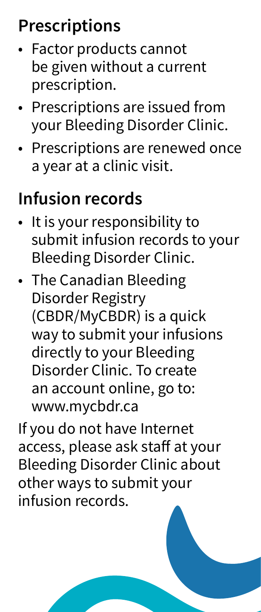### **Prescriptions**

- Factor products cannot be given without a current prescription.
- Prescriptions are issued from your Bleeding Disorder Clinic.
- Prescriptions are renewed once a year at a clinic visit.

#### **Infusion records**

- It is your responsibility to submit infusion records to your Bleeding Disorder Clinic.
- The Canadian Bleeding Disorder Registry (CBDR/MyCBDR) is a quick way to submit your infusions directly to your Bleeding Disorder Clinic. To create an account online, go to: www.mycbdr.ca

If you do not have Internet access, please ask staff at your Bleeding Disorder Clinic about other ways to submit your infusion records.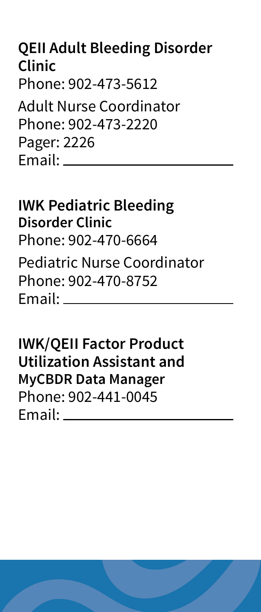#### **QEII Adult Bleeding Disorder Clinic** Phone: 902-473-5612

Adult Nurse Coordinator Phone: 902-473-2220 Pager: 2226 Email:

#### **IWK Pediatric Bleeding Disorder Clinic** Phone: 902-470-6664 Pediatric Nurse Coordinator Phone: 902-470-8752

Email:

**IWK/QEII Factor Product Utilization Assistant and MyCBDR Data Manager** Phone: 902-441-0045 Email: